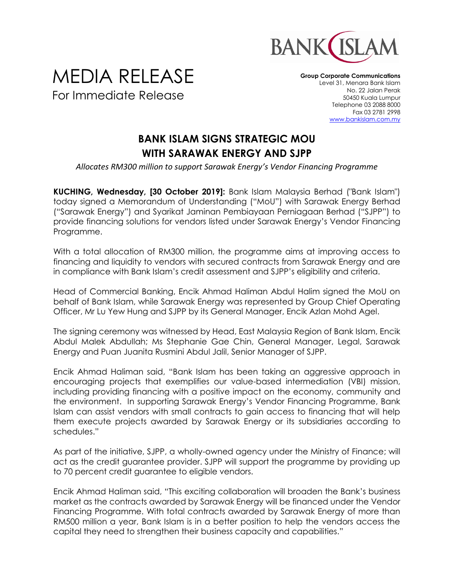

## MEDIA RELEASE For Immediate Release

**Group Corporate Communications** Level 31, Menara Bank Islam No. 22 Jalan Perak 50450 Kuala Lumpur Telephone 03 2088 8000 Fax 03 2781 2998 [www.bankislam.com.my](http://www.bankislam.com.my/)

## **BANK ISLAM SIGNS STRATEGIC MOU WITH SARAWAK ENERGY AND SJPP**

*Allocates RM300 million to support Sarawak Energy's Vendor Financing Programme*

**KUCHING, Wednesday, [30 October 2019]:** Bank Islam Malaysia Berhad ("Bank Islam") today signed a Memorandum of Understanding ("MoU") with Sarawak Energy Berhad ("Sarawak Energy") and Syarikat Jaminan Pembiayaan Perniagaan Berhad ("SJPP") to provide financing solutions for vendors listed under Sarawak Energy's Vendor Financing Programme.

With a total allocation of RM300 million, the programme aims at improving access to financing and liquidity to vendors with secured contracts from Sarawak Energy and are in compliance with Bank Islam's credit assessment and SJPP's eligibility and criteria.

Head of Commercial Banking, Encik Ahmad Haliman Abdul Halim signed the MoU on behalf of Bank Islam, while Sarawak Energy was represented by Group Chief Operating Officer, Mr Lu Yew Hung and SJPP by its General Manager, Encik Azlan Mohd Agel.

The signing ceremony was witnessed by Head, East Malaysia Region of Bank Islam, Encik Abdul Malek Abdullah; Ms Stephanie Gae Chin, General Manager, Legal, Sarawak Energy and Puan Juanita Rusmini Abdul Jalil, Senior Manager of SJPP.

Encik Ahmad Haliman said, "Bank Islam has been taking an aggressive approach in encouraging projects that exemplifies our value-based intermediation (VBI) mission, including providing financing with a positive impact on the economy, community and the environment. In supporting Sarawak Energy's Vendor Financing Programme, Bank Islam can assist vendors with small contracts to gain access to financing that will help them execute projects awarded by Sarawak Energy or its subsidiaries according to schedules."

As part of the initiative, SJPP, a wholly-owned agency under the Ministry of Finance; will act as the credit guarantee provider. SJPP will support the programme by providing up to 70 percent credit guarantee to eligible vendors.

Encik Ahmad Haliman said, "This exciting collaboration will broaden the Bank's business market as the contracts awarded by Sarawak Energy will be financed under the Vendor Financing Programme. With total contracts awarded by Sarawak Energy of more than RM500 million a year, Bank Islam is in a better position to help the vendors access the capital they need to strengthen their business capacity and capabilities."